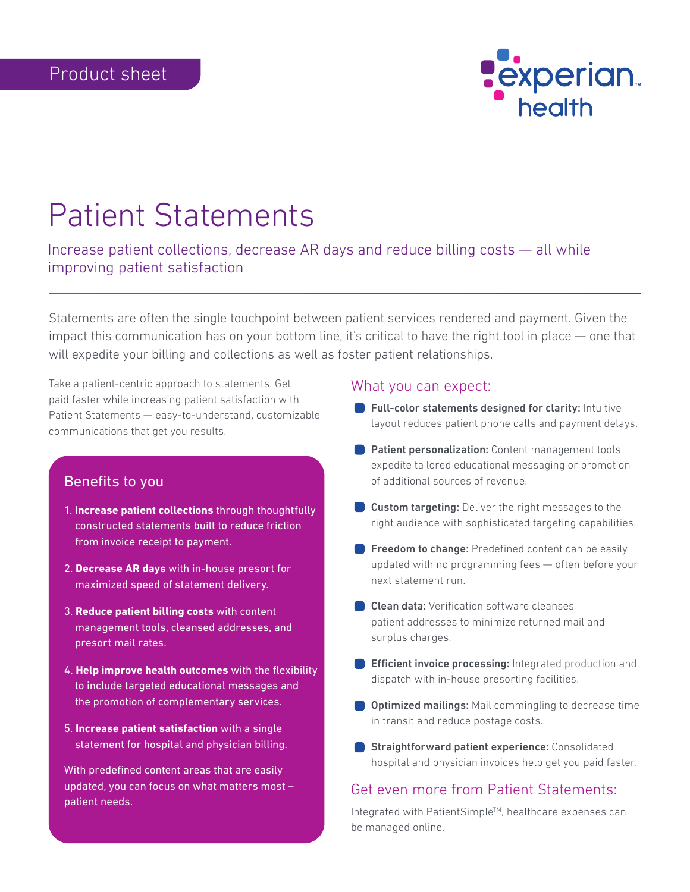

# Patient Statements

Increase patient collections, decrease AR days and reduce billing costs — all while improving patient satisfaction

Statements are often the single touchpoint between patient services rendered and payment. Given the impact this communication has on your bottom line, it's critical to have the right tool in place — one that will expedite your billing and collections as well as foster patient relationships.

Take a patient-centric approach to statements. Get paid faster while increasing patient satisfaction with Patient Statements — easy-to-understand, customizable communications that get you results.

## Benefits to you

- 1. **Increase patient collections** through thoughtfully constructed statements built to reduce friction from invoice receipt to payment.
- 2. **Decrease AR days** with in-house presort for maximized speed of statement delivery.
- 3. **Reduce patient billing costs** with content management tools, cleansed addresses, and presort mail rates.
- 4. **Help improve health outcomes** with the flexibility to include targeted educational messages and the promotion of complementary services.
- 5. **Increase patient satisfaction** with a single statement for hospital and physician billing.

With predefined content areas that are easily updated, you can focus on what matters most – patient needs**.**

#### What you can expect:

- **Full-color statements designed for clarity:** Intuitive layout reduces patient phone calls and payment delays.
- **Patient personalization:** Content management tools expedite tailored educational messaging or promotion of additional sources of revenue.
- **Custom targeting:** Deliver the right messages to the right audience with sophisticated targeting capabilities.
- **Freedom to change:** Predefined content can be easily updated with no programming fees — often before your next statement run.
- **Clean data:** Verification software cleanses patient addresses to minimize returned mail and surplus charges.
- **Efficient invoice processing:** Integrated production and dispatch with in-house presorting facilities.
- **Optimized mailings:** Mail commingling to decrease time in transit and reduce postage costs.
- **Straightforward patient experience:** Consolidated hospital and physician invoices help get you paid faster.

# Get even more from Patient Statements:

Integrated with PatientSimple™, healthcare expenses can be managed online.